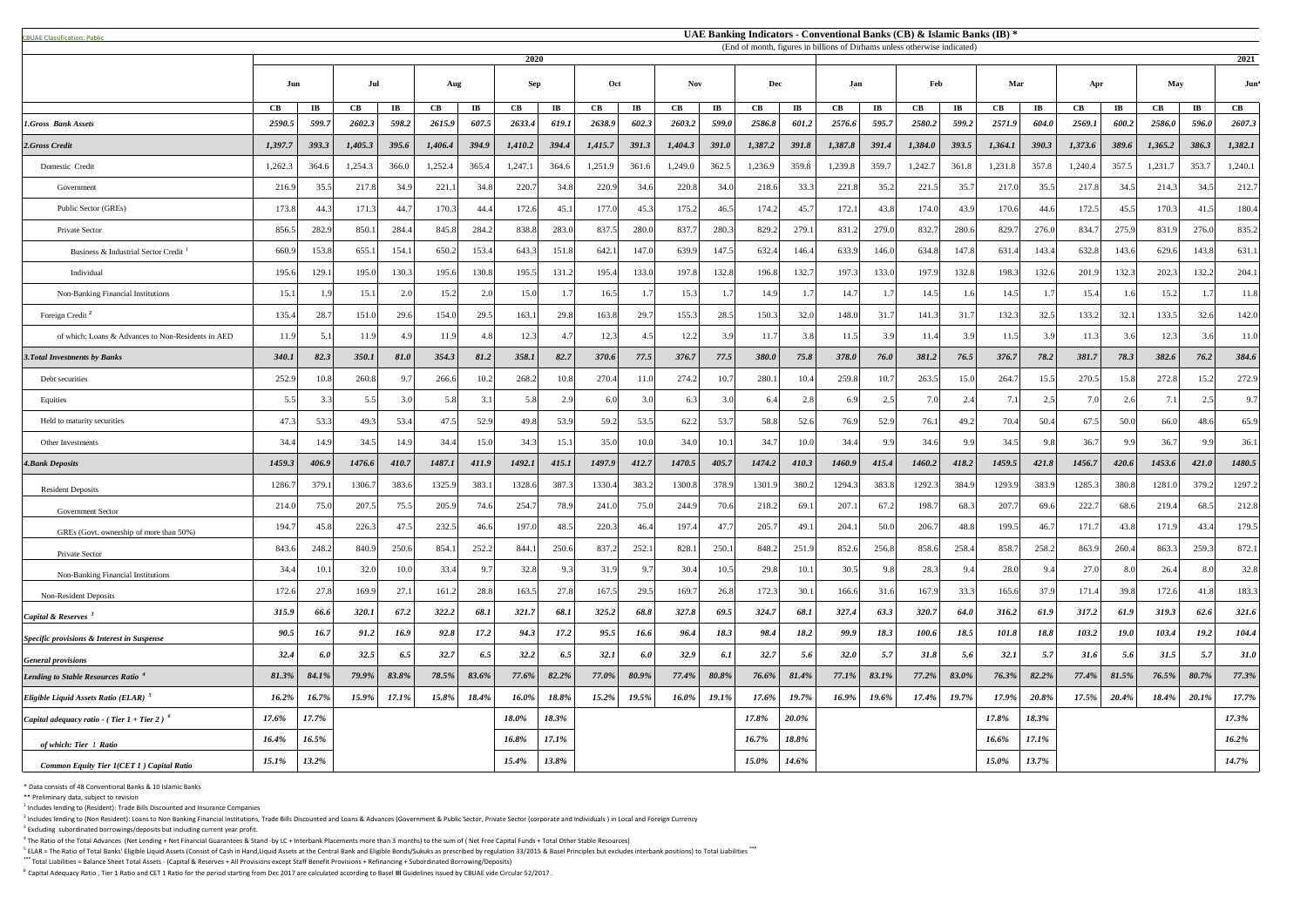<sup>5</sup> ELAR = The Ratio of Total Banks' Eligible Liquid Assets (Consist of Cash in Hand,Liquid Assets at the Central Bank and Eligible Bonds/Sukuks as prescribed by regulation 33/2015 & Basel Principles but excludes interbank **\*\*\*** Total Liabilities = Balance Sheet Total Assets - (Capital & Reserves + All Provisions except Staff Benefit Provisions + Refinancing + Subordinated Borrowing/Deposits)

| <b>CBUAE Classification: Public</b>                | UAE Banking Indicators - Conventional Banks (CB) & Islamic Banks (IB) *<br>(End of month, figures in billions of Dirhams unless otherwise indicated) |                        |               |                        |               |                        |         |                        |                      |                        |               |                        |               |                         |            |                        |               |           |                |                        |         |             |               |                        |               |
|----------------------------------------------------|------------------------------------------------------------------------------------------------------------------------------------------------------|------------------------|---------------|------------------------|---------------|------------------------|---------|------------------------|----------------------|------------------------|---------------|------------------------|---------------|-------------------------|------------|------------------------|---------------|-----------|----------------|------------------------|---------|-------------|---------------|------------------------|---------------|
|                                                    | 2020<br>2021                                                                                                                                         |                        |               |                        |               |                        |         |                        |                      |                        |               |                        |               |                         |            |                        |               |           |                |                        |         |             |               |                        |               |
|                                                    | Jun                                                                                                                                                  |                        | Jul           |                        | Aug           |                        | Sep     |                        | Oct                  |                        | <b>Nov</b>    |                        | Dec           |                         | Feb<br>Jan |                        |               |           | Mar            |                        | Apr     |             | <b>May</b>    | Jun                    |               |
|                                                    | CB                                                                                                                                                   | $\mathbf{I}\mathbf{B}$ | $\mathbf{CB}$ | $\mathbf{I}\mathbf{B}$ | $\mathbf{CB}$ | $\mathbf{I}\mathbf{B}$ | CB      | $\mathbf{I}\mathbf{B}$ | $\mathbf C\mathbf B$ | $\mathbf{I}\mathbf{B}$ | $\mathbf{CB}$ | $\mathbf{I}\mathbf{B}$ | $\mathbf{CB}$ | $\mathbf{I} \mathbf{B}$ | CB         | $\mathbf{I}\mathbf{B}$ | $\mathbf{CB}$ | $\bf{IB}$ | $\mathbf{CB}$  | $\mathbf{I}\mathbf{B}$ | CB      | $\bf{IB}$   | $\mathbf{CB}$ | $\mathbf{I}\mathbf{B}$ | $\mathbf{CB}$ |
| 1.Gross Bank Assets                                | 2590.5                                                                                                                                               | 599.7                  | 2602.3        | 598.2                  | 2615.9        | 607.5                  | 2633.4  | 619.1                  | 2638.9               | 602.3                  | 2603.2        | 599.0                  | 2586.8        | 601.2                   | 2576.6     | 595.7                  | 2580.2        | 599.2     | 2571.9         | 604.0                  | 2569.1  | 600.2       | 2586.0        | 596.0                  | 2607.3        |
| 2.Gross Credit                                     | 1,397.7                                                                                                                                              | 393.3                  | 1,405.3       | 395.6                  | 1,406.4       | 394.9                  | 1,410.2 | 394.4                  | 1,415.7              | 391.3                  | 1,404.3       | 391.0                  | 1,387.2       | 391.8                   | 1,387.8    | 391.4                  | 1,384.0       | 393.5     | 1,364.1        | 390.3                  | 1,373.6 | 389.6       | 1,365.2       | 386.3                  | 1,382.1       |
| Domestic Credit                                    | 1,262.3                                                                                                                                              | 364.6                  | 1,254.3       | 366.0                  | 1,252.4       | 365.4                  | 1,247.1 | 364.6                  | 1,251.9              | 361.6                  | 1,249.0       | 362.5                  | 1,236.9       | 359.8                   | 1,239.8    | 359.7                  | 1,242.7       | 361.8     | 1,231.8        | 357.8                  | 1,240.4 | 357.5       | 1,231.7       | 353.7                  | 1,240.1       |
| Government                                         | 216.                                                                                                                                                 | 35.5                   | 217.8         | 34.9                   | 221.          | 34.8                   | 220.7   | 34.8                   | 220.9                | 34.6                   | 220.8         | 34.0                   | 218.6         | 33.3                    | 221.8      | 35.2                   | 221.          | 35.7      | 217.0          | 35.5                   | 217.8   | 34.5        | 214.3         | 34.5                   | 212.7         |
| Public Sector (GREs)                               | 173.8                                                                                                                                                | 44.3                   | 171.3         | 44.7                   | 170.3         | 44.4                   | 172.6   | 45.1                   | 177.0                | 45.3                   | 175.2         | 46.5                   | 174.2         | 45.7                    | 172.1      | 43.8                   | 174.0         | 43.9      | 170.6          | 44.6                   | 172.5   | 45.5        | 170.3         | 41.5                   | 180.4         |
| Private Sector                                     | 856.5                                                                                                                                                | 282.9                  | 850.1         | 284.4                  | 845.8         | 284.2                  | 838.8   | 283.0                  | 837.5                | 280.0                  | 837.          | 280.3                  | 829.2         | 279.1                   | 831.2      | 279.0                  | 832.          | 280.6     | 829.7          | 276.0                  | 834.    | 275.9       | 831.9         | 276.0                  | 835.2         |
| Business & Industrial Sector Credit                | 660.                                                                                                                                                 | 153.8                  | 655.1         | 154.1                  | 650.2         | 153.4                  | 643.3   | 151.8                  | 642.1                | 147.0                  | 639.9         | 147.5                  | 632.4         | 146.4                   | 633.9      | 146.0                  | 634.8         | 147.8     | 631.           | 143.4                  | 632.8   | 143.6       | 629.6         | 143.8                  | 631.          |
| Individual                                         | 195.6                                                                                                                                                | 129.1                  | 195.0         | 130.3                  | 195.6         | 130.8                  | 195.5   | 131.2                  | 195.4                | 133.0                  | 197.8         | 132.8                  | 196.8         | 132.7                   | 197.3      | 133.0                  | 197.9         | 132.8     | 198.3          | 132.6                  | 201.9   | 132.3       | 202.3         | 132.2                  | 204.1         |
| Non-Banking Financial Institutions                 | 15.1                                                                                                                                                 | 1.9                    | 15.1          | 2.0                    | 15.2          |                        | 15.0    |                        | 16.5                 |                        | 15.3          |                        | 14.9          |                         | 14.7       | 1.7                    | 14.5          |           | 14.5           |                        | 15.4    | 1.6         | 15.2          |                        | 11.8          |
| Foreign Credit <sup>2</sup>                        | 135.4                                                                                                                                                | 28.7                   | 151.0         | 29.6                   | 154.0         | 29.5                   | 163.1   | 29.8                   | 163.8                | 29.7                   | 155.3         | 28.5                   | 150.3         | 32.0                    | 148.0      | 31.7                   | 141.          | 31.7      | 132.3          | 32.5                   | 133.2   | 32.1        | 133.5         | 32.6                   | 142.0         |
| of which: Loans & Advances to Non-Residents in AED | 11.9                                                                                                                                                 | 5.1                    | 11.9          | 4.9                    | 11.9          | 48                     | 12.3    |                        | 12.3                 |                        | 12.2          | 3.9                    | 11.7          | 3.8                     | 11.5       | 3.9                    | 11.           | 3.9       | 11.5           | 39                     | 11.3    |             | 12.3          | 3.6                    | 11.0          |
| <b>3. Total Investments by Banks</b>               | 340.1                                                                                                                                                | 82.3                   | 350.1         | 81.0                   | 354.3         | 81.2                   | 358.1   | 82.7                   | 370.6                | 77.5                   | 376.7         | 77.5                   | 380.0         | 75.8                    | 378.0      | 76.0                   | 381.2         | 76.5      | 376.7          | 78.2                   | 381.7   | 78.3        | 382.6         | 76.2                   | 384.6         |
| Debt securities                                    | 252.                                                                                                                                                 | 10.8                   | 260.8         | 9.                     | 266.6         | 10.2                   | 268.2   | 10.8                   | 270.4                | 11.0                   | 274.2         | 10.7                   | 280.1         | 10.4                    | 259.8      |                        | 263.5         | 15.0      | 264.           | 15.5                   | 270.5   | 15.8        | 272.8         | 15.2                   | 272.9         |
| Equities                                           | 5.5                                                                                                                                                  | 3.3                    | 5.5           | 3.0                    | 5.8           |                        | 5.8     | 2.9                    | 6.0                  | 3.0                    | 6.3           | 3.0                    | 6.4           | 2.81                    | 6.9        | 2.5                    | 7.0           | 2.4       | 7 <sup>1</sup> | $\gamma$ 5             | 7.0     | 2.6         | 7.1           | 2.5                    | 9.7           |
| Held to maturity securities                        | 47.3                                                                                                                                                 | 53.3                   | 49.3          | 53.4                   | 47.5          | 52.9                   | 49.8    | 53.9                   | 59.2                 | 53.5                   | 62.2          | 53.7                   | 58.8          | 52.6                    | 76.9       | 52.9                   | 76.1          | 49.2      | 70.4           | 50.4                   | 67.5    | 50.0        | 66.0          | 48.6                   | 65.9          |
| Other Investments                                  | 34.4                                                                                                                                                 | 14.9                   | 34.5          | 14.9                   | 34.4          | 15.0                   | 34.3    | 15.                    | 35.0                 | 10.0                   | 34.0          | 10.1                   | 34.7          | 10.0                    | 34.4       | 9.9                    | 34.6          | 9.9       | 34.5           | 9.8                    | 36.7    | 9.9         | 36.7          | 9.9                    | 36.1          |
| <b>4.Bank Deposits</b>                             | 1459.3                                                                                                                                               | 406.9                  | 1476.6        | 410.7                  | 1487.1        | 411.9                  | 1492.1  | 415.1                  | 1497.9               | 412.7                  | 1470.5        | 405.7                  | 1474.2        | 410.3                   | 1460.9     | 415.4                  | 1460.2        | 418.2     | 1459.5         | 421.8                  | 1456.7  | 420.6       | 1453.6        | 421.0                  | 1480.5        |
| <b>Resident Deposits</b>                           | 1286.                                                                                                                                                | 379.1                  | 1306.7        | 383.6                  | 1325.9        | 383.                   | 1328.6  | 387.3                  | 1330.4               | 383.2                  | 1300.8        | 378.9                  | 1301.9        | 380.2                   | 1294.3     | 383.8                  | 1292.         | 384.9     | 1293.9         | 383.9                  | 1285.3  | 380.8       | 1281.         | 379.2                  | 1297.2        |
| <b>Government Sector</b>                           | 214.0                                                                                                                                                | 75.0                   | 207.5         | 75.5                   | 205.9         | 74.6                   | 254.7   | 78.9                   | 241.0                | 75.0                   | 244.9         | 70.6                   | 218.2         | 69.                     | 207.       | 67.2                   | 198.          | 68.3      | 207.7          | 69.6                   | 222.7   | 68.6        | 219.4         | 68.5                   | 212.8         |
| GREs (Govt. ownership of more than 50%)            | 194.                                                                                                                                                 | 45.8                   | 226.3         | 47.5                   | 232.5         | 46.6                   | 197.0   | 48.5                   | 220.3                | 46.4                   | 197.          | 47.7                   | 205.7         | 49.                     | 204.       | 50.0                   | 206.7         | 48.8      | 199.5          | 46.                    | 171.7   | 43.8        | 171.9         | 43.4                   | 179.5         |
| Private Sector                                     | 843.6                                                                                                                                                | 248.2                  | 840.9         | 250.6                  | 854.          | 252.2                  | 844.1   | 250.6                  | 837.2                | 252.1                  | 828.          | 250.1                  | 848.2         | 251.9                   | 852.6      | 256.8                  | 858.6         | 258.4     | 858.7          | 258.                   | 863.9   | 260.4       | 863.3         | 259.3                  | 872.1         |
| Non-Banking Financial Institutions                 | 34.4                                                                                                                                                 | 10.1                   | 32.0          | 10.0                   | 33.4          | 9.7                    | 32.8    | 9.3                    | 31.9                 | 9.7                    | 30.4          | 10.5                   | 29.8          | 10.1                    | 30.5       | 9.8                    | 28.           |           | 28.0           | 9.4                    | 27.0    | 8.0         | 26.4          | 8.0                    | 32.8          |
| Non-Resident Deposits                              | 172.6                                                                                                                                                | 27.8                   | 169.9         | 27.1                   | 161.2         | 28.8                   | 163.5   | 27.8                   | 167.5                | 29.5                   | 169.7         | 26.8                   | 172.3         | 30.1                    | 166.6      | 31.6                   | 167.9         | 33.3      | 165.6          | 37.9                   | 171.4   | 39.8        | 172.6         | 41.8                   | 183.3         |
| Capital & Reserves $3$                             | 315.9                                                                                                                                                | 66.6                   | 320.1         | 67.2                   | 322.2         | 68.1                   | 321.7   | 68.1                   | 325.2                | 68.8                   | 327.8         | 69.5                   | 324.7         | 68.1                    | 327.4      | 63.3                   | 320.7         | 64.0      | 316.2          | 61.9                   | 317.2   | 61.9        | 319.3         | 62.6                   | 321.6         |
| Specific provisions & Interest in Suspense         | 90.5                                                                                                                                                 | 16.7                   | 91.2          | 16.9                   | 92.8          | 17.2                   | 94.3    | 17.2                   | 95.5                 | 16.6                   | 96.4          | 18.3                   | 98.4          | 18.2                    | 99.9       | 18.3                   | 100.6         | 18.5      | 101.8          | 18.8                   | 103.2   | <b>19.0</b> | 103.4         | 19.2                   | 104.4         |
| <b>General provisions</b>                          | 32.4                                                                                                                                                 | 6.0                    | 32.5          | 6.5                    | 32.7          | 6.5                    | 32.2    | 6.5                    | 32.1                 | 6.0                    | 32.9          | 6.1                    | 32.7          | 5.6                     | 32.0       | 5.7                    | 31.8          | 5.6       | 32.1           | 5.7                    | 31.6    | 5.6         | 31.5          | 5.7                    | <b>31.0</b>   |
| <b>Lending to Stable Resources Ratio</b>           | 81.3%                                                                                                                                                | 84.1%                  | 79.9%         | 83.8%                  | 78.5%         | 83.6%                  | 77.6%   | 82.2%                  | 77.0%                | 80.9%                  | 77.4%         | 80.8%                  | 76.6%         | 81.4%                   | 77.1%      | 83.1%                  | 77.2%         | 83.0%     | 76.3%          | 82.2%                  | 77.4%   | 81.5%       | 76.5%         | 80.7%                  | 77.3%         |
| Eligible Liquid Assets Ratio (ELAR) <sup>5</sup>   | 16.2%                                                                                                                                                | 16.7%                  | 15.9%         | 17.1%                  | 15.8%         | 18.4%                  | 16.0%   | 18.8%                  | 15.2%                | 19.5%                  | $16.0\%$      | 19.1%                  | 17.6%         | 19.7%                   | 16.9%      | 19.6%                  | 17.4%         | 19.7%     | 17.9%          | 20.8%                  | 17.5%   | 20.4%       | 18.4%         | $20.1\%$               | 17.7%         |
| Capital adequacy ratio - (Tier 1 + Tier 2) $^6$    | $17.6\%$                                                                                                                                             | 17.7%                  |               |                        |               |                        | 18.0%   | 18.3%                  |                      |                        |               |                        | 17.8%         | 20.0%                   |            |                        |               |           | 17.8%          | 18.3%                  |         |             |               |                        | 17.3%         |
| of which: Tier 1 Ratio                             | 16.4%                                                                                                                                                | 16.5%                  |               |                        |               |                        | 16.8%   | 17.1%                  |                      |                        |               |                        | 16.7%         | 18.8%                   |            |                        |               |           | 16.6%          | 17.1%                  |         |             |               |                        | $16.2\%$      |
| Common Equity Tier 1(CET 1) Capital Ratio          | 15.1%                                                                                                                                                | 13.2%                  |               |                        |               |                        | 15.4%   | 13.8%                  |                      |                        |               |                        | $15.0\%$      | <b>14.6%</b>            |            |                        |               |           | $15.0\%$       | 13.7%                  |         |             |               |                        | 14.7%         |

\* Data consists of 48 Conventional Banks & 10 Islamic Banks

\*\* Preliminary data, subject to revision

 $<sup>1</sup>$  Includes lending to (Resident): Trade Bills Discounted and Insurance Companies</sup>

 $^2$  Includes lending to (Non Resident): Loans to Non Banking Financial Institutions, Trade Bills Discounted and Loans & Advances (Government & Public Sector, Private Sector (corporate and Individuals) in Local and Foreig

 $3$  Excluding subordinated borrowings/deposits but including current year profit.

 $^4$  The Ratio of the Total Advances (Net Lending + Net Financial Guarantees & Stand -by LC + Interbank Placements more than 3 months) to the sum of (Net Free Capital Funds + Total Other Stable Resources)

<sup>6</sup>Capital Adequacy Ratio , Tier 1 Ratio and CET 1 Ratio for the period starting from Dec 2017 are calculated according to Basel **III** Guidelines issued by CBUAE vide Circular 52/2017 .